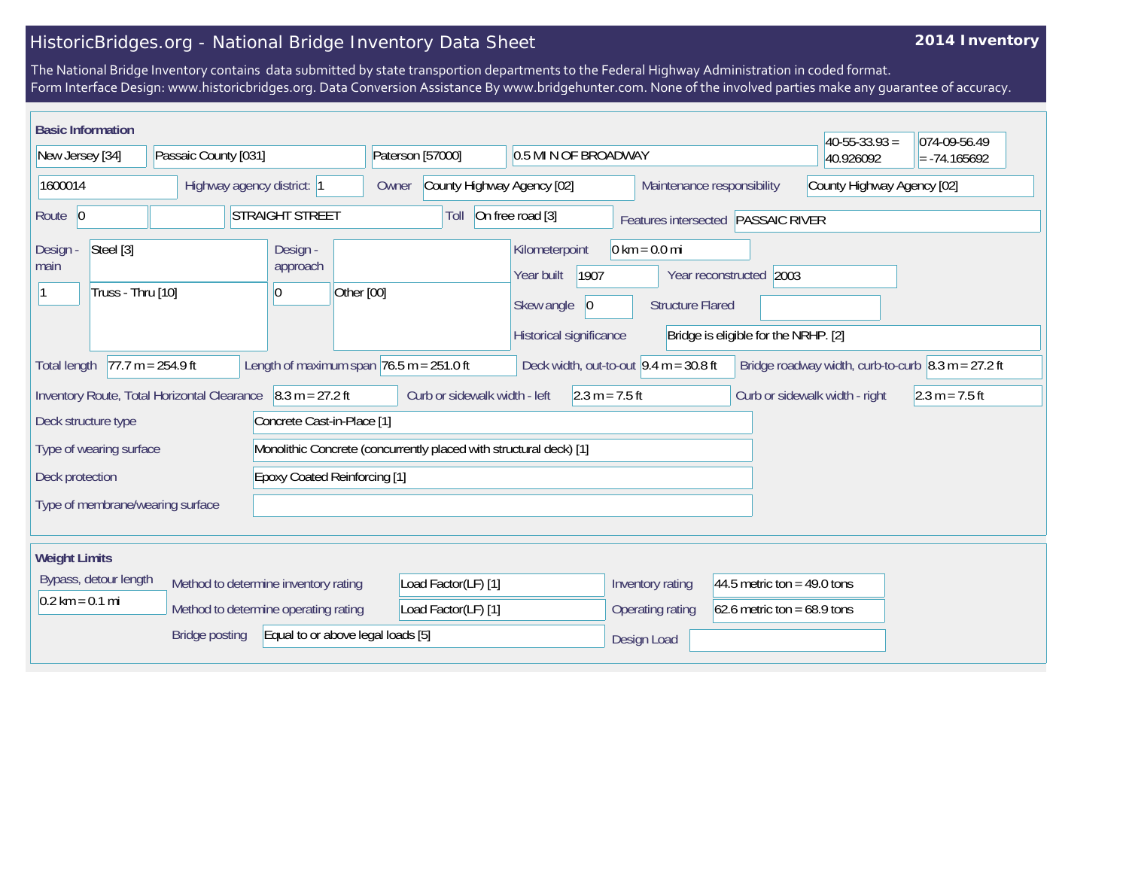## HistoricBridges.org - National Bridge Inventory Data Sheet

## **2014 Inventory**

The National Bridge Inventory contains data submitted by state transportion departments to the Federal Highway Administration in coded format. Form Interface Design: www.historicbridges.org. Data Conversion Assistance By www.bridgehunter.com. None of the involved parties make any guarantee of accuracy.

| <b>Basic Information</b>                                                                                                                                                                                                           |                                      |                  |                                     |                                                                                                                                                                                                                               |                  |                                                          | $40 - 55 - 33.93 =$ | 074-09-56.49 |  |
|------------------------------------------------------------------------------------------------------------------------------------------------------------------------------------------------------------------------------------|--------------------------------------|------------------|-------------------------------------|-------------------------------------------------------------------------------------------------------------------------------------------------------------------------------------------------------------------------------|------------------|----------------------------------------------------------|---------------------|--------------|--|
| New Jersey [34]<br>Passaic County [031]                                                                                                                                                                                            |                                      | Paterson [57000] | 0.5 MI N OF BROADWAY                |                                                                                                                                                                                                                               |                  | 40.926092                                                | $= -74.165692$      |              |  |
| 1600014<br>Highway agency district: 1                                                                                                                                                                                              |                                      |                  | County Highway Agency [02]<br>Owner |                                                                                                                                                                                                                               |                  | County Highway Agency [02]<br>Maintenance responsibility |                     |              |  |
| <b>STRAIGHT STREET</b><br>Route 0                                                                                                                                                                                                  |                                      |                  | Toll                                | On free road [3]<br>Features intersected PASSAIC RIVER                                                                                                                                                                        |                  |                                                          |                     |              |  |
| Steel [3]<br>Design -<br>Design -<br>approach<br>main<br>Truss - Thru [10]<br>Other [00]<br>$\overline{0}$                                                                                                                         |                                      |                  |                                     | Kilometerpoint<br>$0 \text{ km} = 0.0 \text{ mi}$<br>1907<br>Year built<br>Year reconstructed 2003<br>Skew angle<br>$ 0\rangle$<br><b>Structure Flared</b><br>Historical significance<br>Bridge is eligible for the NRHP. [2] |                  |                                                          |                     |              |  |
| $77.7 m = 254.9 ft$<br>Length of maximum span $76.5$ m = 251.0 ft<br>Deck width, out-to-out $9.4 \text{ m} = 30.8 \text{ ft}$<br>Bridge roadway width, curb-to-curb $\vert 8.3 \text{ m} = 27.2 \text{ ft}$<br><b>Total length</b> |                                      |                  |                                     |                                                                                                                                                                                                                               |                  |                                                          |                     |              |  |
| Curb or sidewalk width - left<br>$2.3 m = 7.5 ft$<br>Inventory Route, Total Horizontal Clearance<br>$8.3 m = 27.2 ft$<br>Curb or sidewalk width - right<br>$2.3 m = 7.5 ft$                                                        |                                      |                  |                                     |                                                                                                                                                                                                                               |                  |                                                          |                     |              |  |
| Concrete Cast-in-Place [1]<br>Deck structure type                                                                                                                                                                                  |                                      |                  |                                     |                                                                                                                                                                                                                               |                  |                                                          |                     |              |  |
| Type of wearing surface<br>Monolithic Concrete (concurrently placed with structural deck) [1]                                                                                                                                      |                                      |                  |                                     |                                                                                                                                                                                                                               |                  |                                                          |                     |              |  |
| <b>Epoxy Coated Reinforcing [1]</b><br>Deck protection                                                                                                                                                                             |                                      |                  |                                     |                                                                                                                                                                                                                               |                  |                                                          |                     |              |  |
| Type of membrane/wearing surface                                                                                                                                                                                                   |                                      |                  |                                     |                                                                                                                                                                                                                               |                  |                                                          |                     |              |  |
| <b>Weight Limits</b>                                                                                                                                                                                                               |                                      |                  |                                     |                                                                                                                                                                                                                               |                  |                                                          |                     |              |  |
| Bypass, detour length                                                                                                                                                                                                              | Method to determine inventory rating |                  | Load Factor(LF) [1]                 |                                                                                                                                                                                                                               | Inventory rating | 44.5 metric ton = $49.0$ tons                            |                     |              |  |
| $0.2 \text{ km} = 0.1 \text{ mi}$<br>Method to determine operating rating                                                                                                                                                          |                                      |                  | Load Factor(LF) [1]                 |                                                                                                                                                                                                                               | Operating rating | 62.6 metric ton = $68.9$ tons                            |                     |              |  |
| Equal to or above legal loads [5]<br><b>Bridge posting</b>                                                                                                                                                                         |                                      |                  |                                     |                                                                                                                                                                                                                               | Design Load      |                                                          |                     |              |  |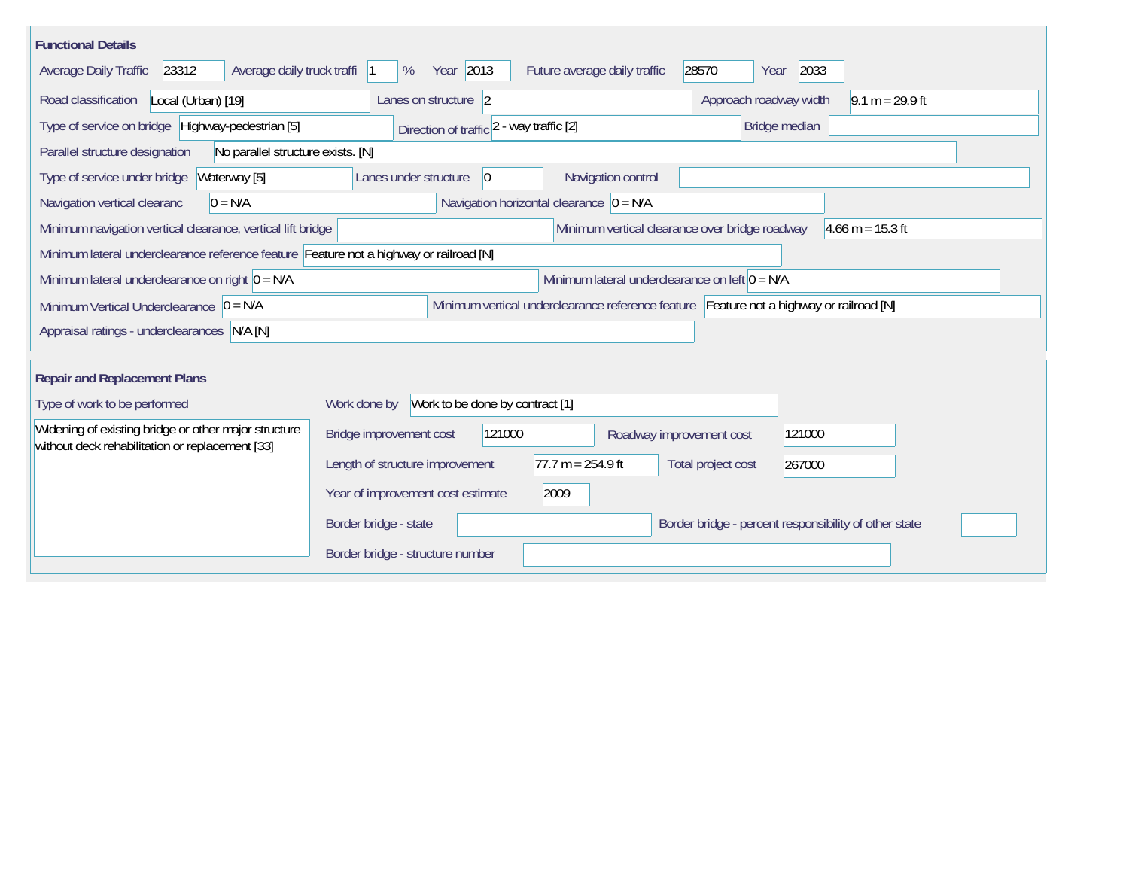| <b>Functional Details</b>                                                                                                              |                                                            |        |                                                       |                                                  |                        |                    |        |                                                       |
|----------------------------------------------------------------------------------------------------------------------------------------|------------------------------------------------------------|--------|-------------------------------------------------------|--------------------------------------------------|------------------------|--------------------|--------|-------------------------------------------------------|
| 23312<br>Average daily truck traffi<br>Average Daily Traffic                                                                           | Year 2013<br>%                                             |        | Future average daily traffic                          |                                                  | 28570                  | Year               | 2033   |                                                       |
| Road classification<br>Local (Urban) [19]                                                                                              | Lanes on structure 2                                       |        |                                                       |                                                  | Approach roadway width |                    |        | $\sqrt{9.1}$ m = 29.9 ft                              |
| Type of service on bridge Highway-pedestrian [5]                                                                                       | Direction of traffic 2 - way traffic [2]                   |        |                                                       |                                                  | Bridge median          |                    |        |                                                       |
| Parallel structure designation<br>No parallel structure exists. [N]                                                                    |                                                            |        |                                                       |                                                  |                        |                    |        |                                                       |
| Type of service under bridge<br>Waterway [5]                                                                                           | Navigation control<br>Lanes under structure<br>$ 0\rangle$ |        |                                                       |                                                  |                        |                    |        |                                                       |
| Navigation vertical clearanc<br>$0 = N/A$                                                                                              |                                                            |        | Navigation horizontal clearance $\vert 0 = N/A \vert$ |                                                  |                        |                    |        |                                                       |
| Minimum navigation vertical clearance, vertical lift bridge                                                                            |                                                            |        |                                                       | Minimum vertical clearance over bridge roadway   |                        |                    |        | $4.66$ m = 15.3 ft                                    |
| Minimum lateral underclearance reference feature Feature not a highway or railroad [N]                                                 |                                                            |        |                                                       |                                                  |                        |                    |        |                                                       |
| Minimum lateral underclearance on right $0 = N/A$                                                                                      |                                                            |        |                                                       | Minimum lateral underclearance on left $0 = N/A$ |                        |                    |        |                                                       |
| Minimum vertical underclearance reference feature Feature not a highway or railroad [N]<br>Minimum Vertical Underclearance $ 0 = N/A $ |                                                            |        |                                                       |                                                  |                        |                    |        |                                                       |
| Appraisal ratings - underclearances N/A [N]                                                                                            |                                                            |        |                                                       |                                                  |                        |                    |        |                                                       |
| <b>Repair and Replacement Plans</b>                                                                                                    |                                                            |        |                                                       |                                                  |                        |                    |        |                                                       |
| Type of work to be performed                                                                                                           | Work to be done by contract [1]<br>Work done by            |        |                                                       |                                                  |                        |                    |        |                                                       |
| Widening of existing bridge or other major structure<br>without deck rehabilitation or replacement [33]                                | Bridge improvement cost                                    | 121000 |                                                       | Roadway improvement cost                         |                        |                    | 121000 |                                                       |
|                                                                                                                                        | Length of structure improvement                            |        | $77.7 m = 254.9 ft$                                   |                                                  |                        | Total project cost | 267000 |                                                       |
|                                                                                                                                        | Year of improvement cost estimate                          |        | 2009                                                  |                                                  |                        |                    |        |                                                       |
|                                                                                                                                        | Border bridge - state                                      |        |                                                       |                                                  |                        |                    |        | Border bridge - percent responsibility of other state |
|                                                                                                                                        | Border bridge - structure number                           |        |                                                       |                                                  |                        |                    |        |                                                       |